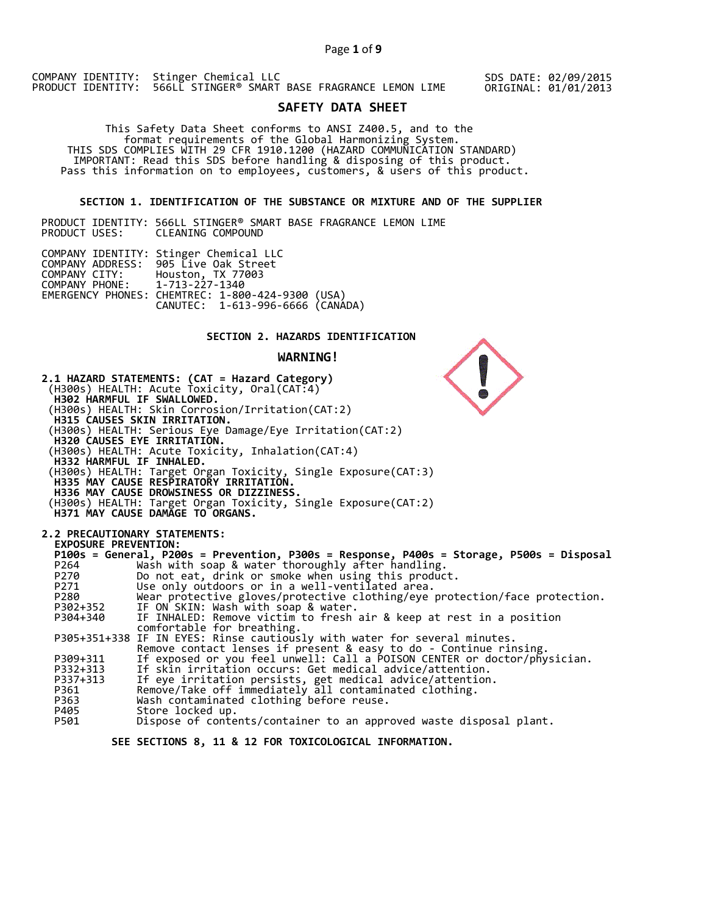SDS DATE: 02/09/2015 ORIGINAL: 01/01/2013

# **SAFETY DATA SHEET**

 This Safety Data Sheet conforms to ANSI Z400.5, and to the format requirements of the Global Harmonizing System. THIS SDS COMPLIES WITH 29 CFR 1910.1200 (HAZARD COMMUNICATION STANDARD) IMPORTANT: Read this SDS before handling & disposing of this product. Pass this information on to employees, customers, & users of this product.

## **SECTION 1. IDENTIFICATION OF THE SUBSTANCE OR MIXTURE AND OF THE SUPPLIER**

PRODUCT IDENTITY: 566LL STINGER® SMART BASE FRAGRANCE LEMON LIME CLEANING COMPOUND

|                               | COMPANY IDENTITY: Stinger Chemical LLC           |  |
|-------------------------------|--------------------------------------------------|--|
|                               | COMPANY ADDRESS: 905 Live Oak Street             |  |
|                               | COMPANY CITY: Houston, TX 77003                  |  |
| COMPANY PHONE: 1-713-227-1340 |                                                  |  |
|                               | EMERGENCY PHONES: CHEMTREC: 1-800-424-9300 (USA) |  |
|                               | CANUTEC: 1-613-996-6666 (CANÁDA)                 |  |

## **SECTION 2. HAZARDS IDENTIFICATION**

## **WARNING!**



 **SEE SECTIONS 8, 11 & 12 FOR TOXICOLOGICAL INFORMATION.**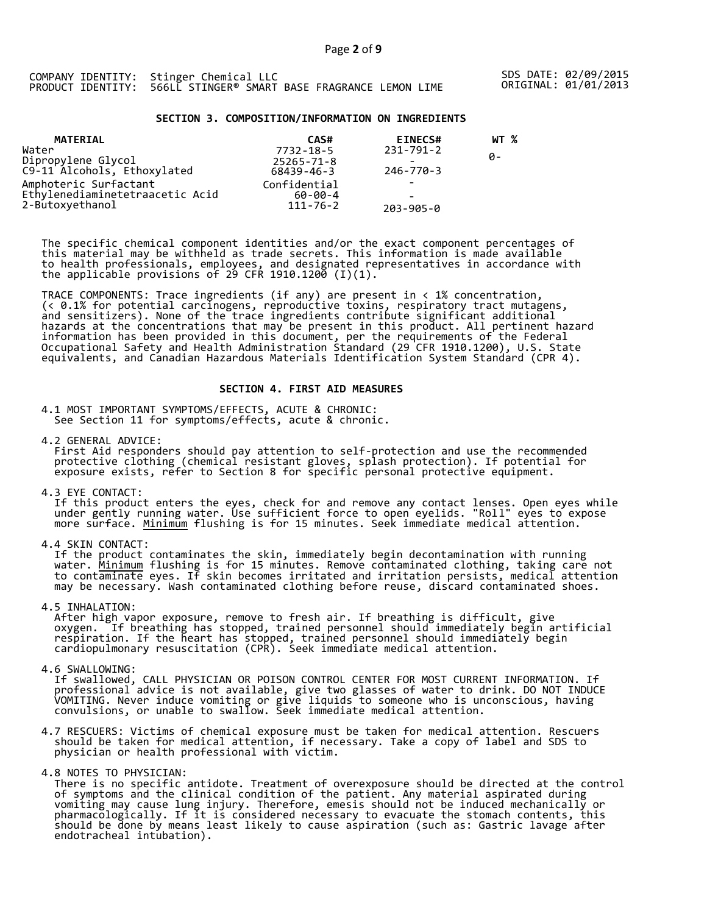SDS DATE: 02/09/2015 ORIGINAL: 01/01/2013

## **SECTION 3. COMPOSITION/INFORMATION ON INGREDIENTS**

| <b>MATERIAL</b>                 | CAS#             | <b>EINECS#</b>           | WT % |
|---------------------------------|------------------|--------------------------|------|
| Water                           | 7732-18-5        | 231-791-2                |      |
| Dipropylene Glycol              | $25265 - 71 - 8$ | -                        | ø-   |
| C9-11 Alcohols, Ethoxylated     | 68439-46-3       | 246-770-3                |      |
| Amphoteric Surfactant           | Confidential     |                          |      |
| Ethylenediaminetetraacetic Acid | $60 - 00 - 4$    | $\overline{\phantom{0}}$ |      |
| 2-Butoxyethanol                 | $111 - 76 - 2$   | $203 - 905 - 0$          |      |

The specific chemical component identities and/or the exact component percentages of this material may be withheld as trade secrets. This information is made available to health professionals, employees, and designated representatives in accordance with the applicable provisions of 29 CFR 1910.1200̄ (I)(1).  $\overline{\phantom{a}}$ 

TRACE COMPONENTS: Trace ingredients (if any) are present in < 1% concentration, (< 0.1% for potential carcinogens, reproductive toxins, respiratory tract mutagens, and sensitizers). None of the trace ingredients contribute significant additional hazards at the concentrations that may be present in this product. All pertinent hazard information has been provided in this document, per the requirements of the Federal Occupational Safety and Health Administration Standard (29 CFR 1910.1200), U.S. State equivalents, and Canadian Hazardous Materials Identification System Standard (CPR 4).

## **SECTION 4. FIRST AID MEASURES**

4.1 MOST IMPORTANT SYMPTOMS/EFFECTS, ACUTE & CHRONIC: See Section 11 for symptoms/effects, acute & chronic.

4.2 GENERAL ADVICE: First Aid responders should pay attention to self-protection and use the recommended protective clothing (chemical resistant gloves, splash protection). If potential for exposure exists, refer to Section 8 for specific personal protective equipment.

4.3 EYE CONTACT:

 If this product enters the eyes, check for and remove any contact lenses. Open eyes while under gently running water. Use sufficient force to open eyelids. "Roll" eyes to expose more surface. <u>Minimum</u> flushing is for 15 minutes. Seek immediate medical attention.

4.4 SKIN CONTACT:

 If the product contaminates the skin, immediately begin decontamination with running water. <u>Minimum</u> flushing is for 15 minutes. Remove contaminated clothing, taking care not to contaminate eyes. If skin becomes irritated and irritation persists, medical attention may be necessary. Wash contaminated clothing before reuse, discard contaminated shoes.

4.5 INHALATION:

 After high vapor exposure, remove to fresh air. If breathing is difficult, give oxygen. If breathing has stopped, trained personnel should immediately begin artificial respiration. If the heart has stopped, trained personnel should immediately begin cardiopulmonary resuscitation (CPR). Seek immediate medical attention.

4.6 SWALLOWING:

 If swallowed, CALL PHYSICIAN OR POISON CONTROL CENTER FOR MOST CURRENT INFORMATION. If professional advice is not available, give two glasses of water to drink. DO NOT INDUCE VOMITING. Never induce vomiting or give liquids to someone who is unconscious, having convulsions, or unable to swallow. Seek immediate medical attention.

4.7 RESCUERS: Victims of chemical exposure must be taken for medical attention. Rescuers should be taken for medical attention, if necessary. Take a copy of label and SDS to physician or health professional with victim.

4.8 NOTES TO PHYSICIAN:

 There is no specific antidote. Treatment of overexposure should be directed at the control of symptoms and the clinical condition of the patient. Any material aspirated during vomiting may cause lung injury. Therefore, emesis should not be induced mechanically or pharmacologically. If it is considered necessary to evacuate the stomach contents, this should be done by means least likely to cause aspiration (such as: Gastric lavage after endotracheal intubation).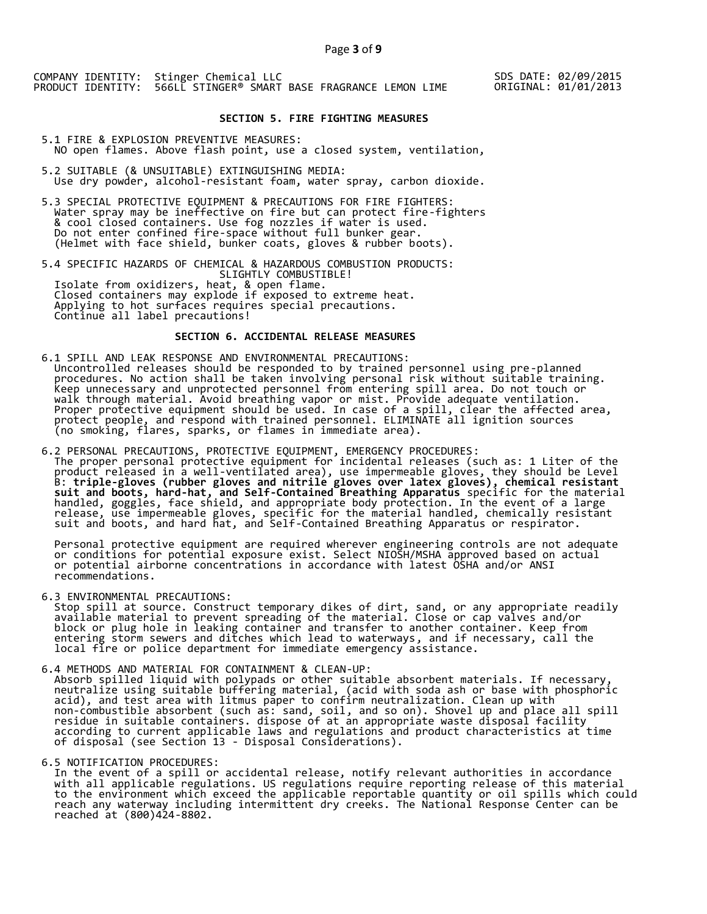SDS DATE: 02/09/2015 ORIGINAL: 01/01/2013

## **SECTION 5. FIRE FIGHTING MEASURES**

5.1 FIRE & EXPLOSION PREVENTIVE MEASURES: NO open flames. Above flash point, use a closed system, ventilation,

- 5.2 SUITABLE (& UNSUITABLE) EXTINGUISHING MEDIA: Use dry powder, alcohol-resistant foam, water spray, carbon dioxide.
- 5.3 SPECIAL PROTECTIVE EQUIPMENT & PRECAUTIONS FOR FIRE FIGHTERS: Water spray may be ineffective on fire but can protect fire-fighters & cool closed containers. Use fog nozzles if water is used. Do not enter confined fire-space without full bunker gear. (Helmet with face shield, bunker coats, gloves & rubber boots).

5.4 SPECIFIC HAZARDS OF CHEMICAL & HAZARDOUS COMBUSTION PRODUCTS: SLIGHTLY COMBUSTIBLE! Isolate from oxidizers, heat, & open flame. Closed containers may explode if exposed to extreme heat. Applying to hot surfaces requires special precautions. Continue all label precautions!

## **SECTION 6. ACCIDENTAL RELEASE MEASURES**

- 6.1 SPILL AND LEAK RESPONSE AND ENVIRONMENTAL PRECAUTIONS: Uncontrolled releases should be responded to by trained personnel using pre-planned procedures. No action shall be taken involving personal risk without suitable training. Keep unnecessary and unprotected personnel from entering spill area. Do not touch or walk through material. Avoid breathing vapor or mist. Provide adequate ventilation. Proper protective equipment should be used. In case of a spill, clear the affected area, protect people, and respond with trained personnel. ELIMINATE all ignition sources (no smoking, flares, sparks, or flames in immediate area).
- 6.2 PERSONAL PRECAUTIONS, PROTECTIVE EQUIPMENT, EMERGENCY PROCEDURES: The proper personal protective equipment for incidental releases (such as: 1 Liter of the product released in a well-ventilated area), use impermeable gloves, they should be Level B: **triple-gloves (rubber gloves and nitrile gloves over latex gloves), chemical resistant suit and boots, hard-hat, and Self-Contained Breathing Apparatus** specific for the material handled, goggles, face shield, and appropriate body protection. In the event of a large release, use impermeable gloves, specific for the material handled, chemically resistant suit and boots, and hard hat, and Self-Contained Breathing Apparatus or respirator.

 Personal protective equipment are required wherever engineering controls are not adequate or conditions for potential exposure exist. Select NIOSH/MSHA approved based on actual or potential airborne concentrations in accordance with latest OSHA and/or ANSI recommendations.

6.3 ENVIRONMENTAL PRECAUTIONS:

 Stop spill at source. Construct temporary dikes of dirt, sand, or any appropriate readily available material to prevent spreading of the material. Close or cap valves and/or block or plug hole in leaking container and transfer to another container. Keep from entering storm sewers and ditches which lead to waterways, and if necessary, call the local fire or police department for immediate emergency assistance.

6.4 METHODS AND MATERIAL FOR CONTAINMENT & CLEAN-UP: Absorb spilled liquid with polypads or other suitable absorbent materials. If necessary, neutralize using suitable buffering material, (acid with soda ash or base with phosphoric acid), and test area with litmus paper to confirm neutralization. Clean up with non-combustible absorbent (such as: sand, soil, and so on). Shovel up and place all spill residue in suitable containers. dispose of at an appropriate waste disposal facility according to current applicable laws and regulations and product characteristics at time of disposal (see Section 13 - Disposal Considerations).

6.5 NOTIFICATION PROCEDURES:

 In the event of a spill or accidental release, notify relevant authorities in accordance with all applicable regulations. US regulations require reporting release of this material to the environment which exceed the applicable reportable quantity or oil spills which could reach any waterway including intermittent dry creeks. The National Response Center can be reached at (800)424-8802.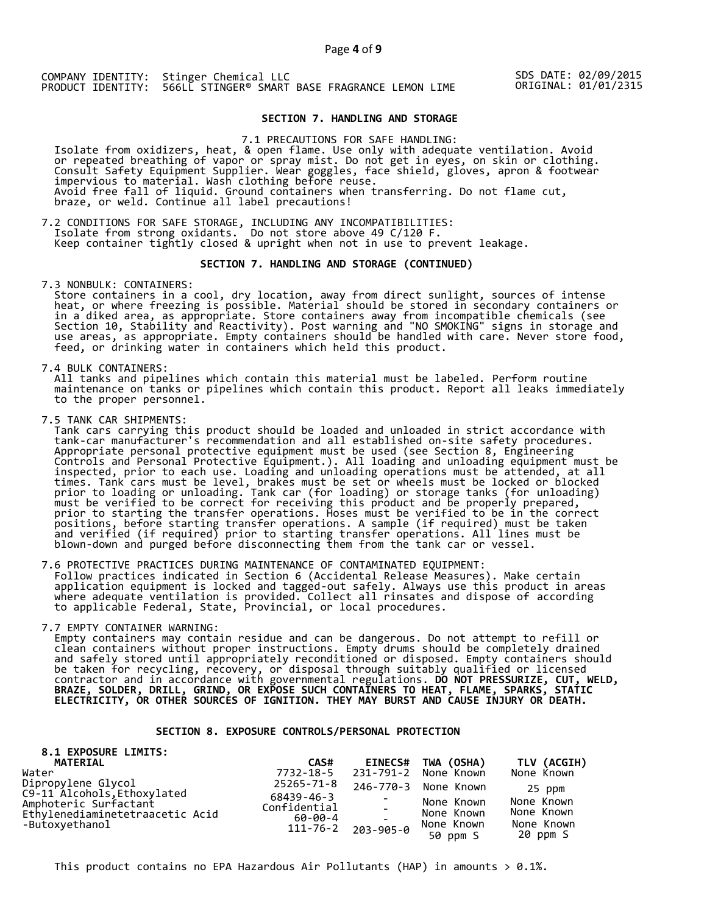SDS DATE: 02/09/2015 ORIGINAL: 01/01/2315

## **SECTION 7. HANDLING AND STORAGE**

7.1 PRECAUTIONS FOR SAFE HANDLING:

 Isolate from oxidizers, heat, & open flame. Use only with adequate ventilation. Avoid or repeated breathing of vapor or spray mist. Do not get in eyes, on skin or clothing. Consult Safety Equipment Supplier. Wear goggles, face shield, gloves, apron & footwear impervious to material. Wash clothing before reuse. Avoid free fall of liquid. Ground containers when transferring. Do not flame cut, braze, or weld. Continue all label precautions!

7.2 CONDITIONS FOR SAFE STORAGE, INCLUDING ANY INCOMPATIBILITIES:<br>Isolate from strong oxidants. Do not store above 49 C/120 F. Isolate from strong oxidants. Do not store above 49 C/120 F. Keep container tightly closed & upright when not in use to prevent leakage.

#### **SECTION 7. HANDLING AND STORAGE (CONTINUED)**

7.3 NONBULK: CONTAINERS:

 Store containers in a cool, dry location, away from direct sunlight, sources of intense heat, or where freezing is possible. Material should be stored in secondary containers or in a diked area, as appropriate. Store containers away from incompatible chemicals (see Section 10, Stability and Reactivity). Post warning and "NO SMOKING" signs in storage and use areas, as appropriate. Empty containers should be handled with care. Never store food, feed, or drinking water in containers which held this product.

7.4 BULK CONTAINERS:

 All tanks and pipelines which contain this material must be labeled. Perform routine maintenance on tanks or pipelines which contain this product. Report all leaks immediately to the proper personnel.

7.5 TANK CAR SHIPMENTS:

Tank cars carrying this product should be loaded and unloaded in strict accordance with<br>tank-car manufacturer's recommendation and all established on-site safety procedures. tank-car manufacturer's recommendation and all established on-site safety procedures. Appropriate personal protective equipment must be used (see Section 8, Engineering Controls and Personal Protective Equipment.). All loading and unloading equipment must be inspected, prior to each use. Loading and unloading operations must be attended, at all times. Tank cars must be level, brakes must be set or wheels must be locked or blocked prior to loading or unloading. Tank car (for loading) or storage tanks (for unloading) must be verified to be correct for receiving this product and be properly prepared, prior to starting the transfer operations. Hoses must be verified to be in the correct positions, before starting transfer operations. A sample (if required) must be taken and verified (if required) prior to starting transfer operations. All lines must be blown-down and purged before disconnecting them from the tank car or vessel.

7.6 PROTECTIVE PRACTICES DURING MAINTENANCE OF CONTAMINATED EQUIPMENT: Follow practices indicated in Section 6 (Accidental Release Measures). Make certain application equipment is locked and tagged-out safely. Always use this product in areas where adequate ventilation is provided. Collect all rinsates and dispose of according to applicable Federal, State, Provincial, or local procedures.

7.7 EMPTY CONTAINER WARNING:

 Empty containers may contain residue and can be dangerous. Do not attempt to refill or clean containers without proper instructions. Empty drums should be completely drained and safely stored until appropriately reconditioned or disposed. Empty containers should be taken for recycling, recovery, or disposal through suitably qualified or licensed contractor and in accordance with governmental regulations. **DO NOT PRESSURIZE, CUT, WELD, BRAZE, SOLDER, DRILL, GRIND, OR EXPOSE SUCH CONTAINERS TO HEAT, FLAME, SPARKS, STATIC ELECTRICITY, OR OTHER SOURCES OF IGNITION. THEY MAY BURST AND CAUSE INJURY OR DEATH.**

## **SECTION 8. EXPOSURE CONTROLS/PERSONAL PROTECTION**

| 8.1 EXPOSURE LIMITS:<br>MATERIAL                  | CAS#                       | <b>EINECS#</b> | TWA (OSHA)             | TLV (ACGIH)            |
|---------------------------------------------------|----------------------------|----------------|------------------------|------------------------|
| Water                                             | 7732-18-5                  |                | 231-791-2 None Known   | None Known             |
| Dipropylene Glycol<br>C9-11 Alcohols, Ethoxylated | 25265-71-8                 |                | 246-770-3 None Known   | 25 ppm                 |
| Amphoteric Surfactant                             | 68439-46-3<br>Confidential |                | None Known             | None Known             |
| Ethylenediaminetetraacetic Acid                   | 60-00-4                    |                | None Known             | None Known             |
| -Butoxyethanol                                    | $111 - 76 - 2$             | 203-905-0      | None Known<br>50 ppm S | None Known<br>20 ppm S |

This product contains no EPA Hazardous Air Pollutants (HAP) in amounts  $> 0.1\%$ .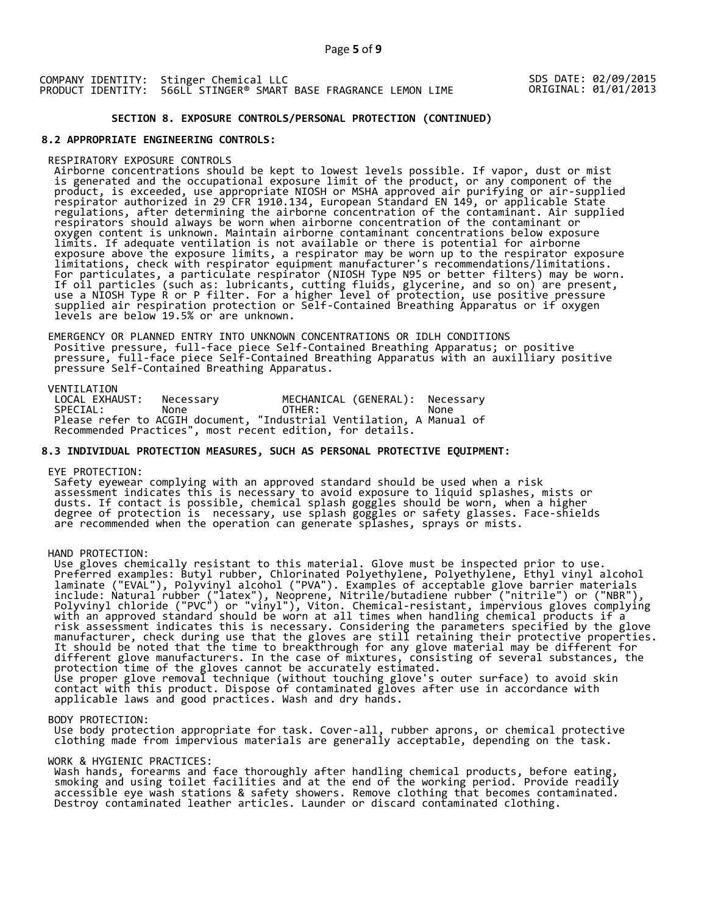## SDS DATE: 02/09/2015 ORIGINAL: 01/01/2013

# **SECTION 8. EXPOSURE CONTROLS/PERSONAL PROTECTION (CONTINUED)**

## **8.2 APPROPRIATE ENGINEERING CONTROLS:**

#### RESPIRATORY EXPOSURE CONTROLS

 Airborne concentrations should be kept to lowest levels possible. If vapor, dust or mist is generated and the occupational exposure limit of the product, or any component of the product, is exceeded, use appropriate NIOSH or MSHA approved air purifying or air-supplied respirator authorized in 29 CFR 1910.134, European Standard EN 149, or applicable State regulations, after determining the airborne concentration of the contaminant. Air supplied respirators should always be worn when airborne concentration of the contaminant or oxygen content is unknown. Maintain airborne contaminant concentrations below exposure limits. If adequate ventilation is not available or there is potential for airborne exposure above the exposure limits, a respirator may be worn up to the respirator exposure limitations, check with respirator equipment manufacturer's recommendations/limitations. For particulates, a particulate respirator (NIOSH Type N95 or better filters) may be worn. If oil particles (such as: lubricants, cutting fluids, glycerine, and so on) are present, use a NIOSH Type R or P filter. For a higher level of protection, use positive pressure supplied air respiration protection or Self-Contained Breathing Apparatus or if oxygen levels are below 19.5% or are unknown.

 EMERGENCY OR PLANNED ENTRY INTO UNKNOWN CONCENTRATIONS OR IDLH CONDITIONS Positive pressure, full-face piece Self-Contained Breathing Apparatus; or positive pressure, full-face piece Self-Contained Breathing Apparatus with an auxilliary positive pressure Self-Contained Breathing Apparatus.

VENTILATION<br>LOCAL EXHAUST: LOCAL EXHAUST: Necessary MECHANICAL (GENERAL): Necessary SPECIAL: None OTHER: None Please refer to ACGIH document, "Industrial Ventilation, A Manual of Recommended Practices", most recent edition, for details.

## **8.3 INDIVIDUAL PROTECTION MEASURES, SUCH AS PERSONAL PROTECTIVE EQUIPMENT:**

#### EYE PROTECTION:

 Safety eyewear complying with an approved standard should be used when a risk assessment indicates this is necessary to avoid exposure to liquid splashes, mists or dusts. If contact is possible, chemical splash goggles should be worn, when a higher degree of protection is necessary, use splash goggles or safety glasses. Face-shields are recommended when the operation can generate splashes, sprays or mists.

#### HAND PROTECTION:

 Use gloves chemically resistant to this material. Glove must be inspected prior to use. Preferred examples: Butyl rubber, Chlorinated Polyethylene, Polyethylene, Ethyl vinyl alcohol laminate ("EVAL"), Polyvinyl alcohol ("PVA"). Examples of acceptable glove barrier materials include: Natural rubber ("latex"), Neoprene, Nitrile/butadiene rubber ("nitrile") or ("NBR"), Polyvinyl chloride ("PVC") or "vinyl"), Viton. Chemical-resistant, impervious gloves complying with an approved standard should be worn at all times when handling chemical products if a risk assessment indicates this is necessary. Considering the parameters specified by the glove manufacturer, check during use that the gloves are still retaining their protective properties. It should be noted that the time to breakthrough for any glove material may be different for different glove manufacturers. In the case of mixtures, consisting of several substances, the protection time of the gloves cannot be accurately estimated. Use proper glove removal technique (without touching glove's outer surface) to avoid skin contact with this product. Dispose of contaminated gloves after use in accordance with applicable laws and good practices. Wash and dry hands.

#### BODY PROTECTION:

 Use body protection appropriate for task. Cover-all, rubber aprons, or chemical protective clothing made from impervious materials are generally acceptable, depending on the task.

#### WORK & HYGIENIC PRACTICES:

 Wash hands, forearms and face thoroughly after handling chemical products, before eating, smoking and using toilet facilities and at the end of the working period. Provide readily accessible eye wash stations & safety showers. Remove clothing that becomes contaminated. Destroy contaminated leather articles. Launder or discard contaminated clothing.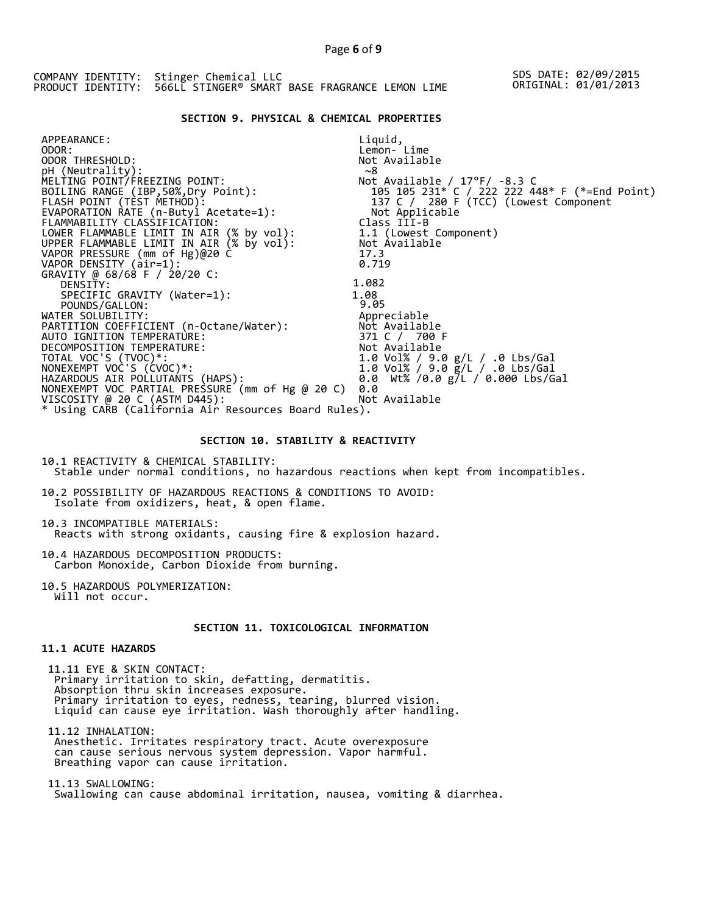## **SECTION 9. PHYSICAL & CHEMICAL PROPERTIES**

| APPEARANCE:                                                                          | Liquid,                                       |
|--------------------------------------------------------------------------------------|-----------------------------------------------|
| ODOR:                                                                                | Lemon- Lime                                   |
| ODOR THRESHOLD:                                                                      | Not Available                                 |
| pH (Neutrality):                                                                     | ~8                                            |
| MELTING POINT/FREEZING POINT:                                                        | Not Available / $17^{\circ}$ F/ -8.3 C        |
| BOILING RANGE (IBP, 50%, Dry Point):                                                 | 105 105 231* C / 222 222 448* F (*=End Point) |
| FLASH POINT (TÈST METHOD):                                                           | 137 C / 280 F (TCC) (Lowest Component         |
| EVAPORATION RATE (n-Butyl Acetate=1):                                                | Not Applicable                                |
| FLAMMABILITY CLASSIFICATION:                                                         | Class III-B                                   |
|                                                                                      | 1.1 (Lowest Component)                        |
| LOWER FLAMMABLE LIMIT IN AIR (% by vol):<br>UPPER FLAMMABLE LIMIT IN AIR (% by vol): | Not Available                                 |
| VAPOR PRESSURE (mm of Hg)@20 C                                                       | 17.3                                          |
| VAPOR DENSITY (air=1):                                                               | 0.719                                         |
| GRAVITY @ 68/68 F / 20/20 C:                                                         |                                               |
| DENSITY:                                                                             | 1.082                                         |
| SPECIFIC GRAVITY (Water=1):                                                          | 1.08                                          |
| POUNDS/GALLON:                                                                       | 9.05                                          |
| WATER SOLUBILITY:                                                                    | Appreciable                                   |
| PARTITION COEFFICIENT (n-Octane/Water):                                              | Not Available                                 |
| AUTO IGNITION TEMPERATURE:                                                           | 371 C / 700 F                                 |
| DECOMPOSITION TEMPERATURE:                                                           | Not Available                                 |
| TOTAL VOC'S (TVOC)*:                                                                 | 1.0 Vol% / 9.0 g/L / .0 Lbs/Gal               |
| NONEXEMPT VOC'S (CVOC)*:                                                             | 1.0 Vol% / 9.0 g/L / .0 Lbs/Gal               |
| HAZARDOUS AIR POLLUTANTS (HAPS):                                                     | 0.0 Wt% /0.0 g/L / 0.000 Lbs/Gal              |
| NONEXEMPT VOC PARTIAL PRESSURE (mm of Hg @ 20 C)                                     | 0.0                                           |
| VISCOSITY @ 20 C (ASTM D445):                                                        | Not Available                                 |
| * Using CARB (California Air Resources Board Rules).                                 |                                               |
|                                                                                      |                                               |

#### **SECTION 10. STABILITY & REACTIVITY**

10.1 REACTIVITY & CHEMICAL STABILITY: Stable under normal conditions, no hazardous reactions when kept from incompatibles.

10.2 POSSIBILITY OF HAZARDOUS REACTIONS & CONDITIONS TO AVOID: Isolate from oxidizers, heat, & open flame.

10.3 INCOMPATIBLE MATERIALS: Reacts with strong oxidants, causing fire & explosion hazard.

10.4 HAZARDOUS DECOMPOSITION PRODUCTS: Carbon Monoxide, Carbon Dioxide from burning.

10.5 HAZARDOUS POLYMERIZATION: Will not occur.

# **SECTION 11. TOXICOLOGICAL INFORMATION**

## **11.1 ACUTE HAZARDS**

 11.11 EYE & SKIN CONTACT: Primary irritation to skin, defatting, dermatitis. Absorption thru skin increases exposure. Primary irritation to eyes, redness, tearing, blurred vision. Liquid can cause eye irritation. Wash thoroughly after handling.

 11.12 INHALATION: Anesthetic. Irritates respiratory tract. Acute overexposure can cause serious nervous system depression. Vapor harmful. Breathing vapor can cause irritation.

 11.13 SWALLOWING: Swallowing can cause abdominal irritation, nausea, vomiting & diarrhea.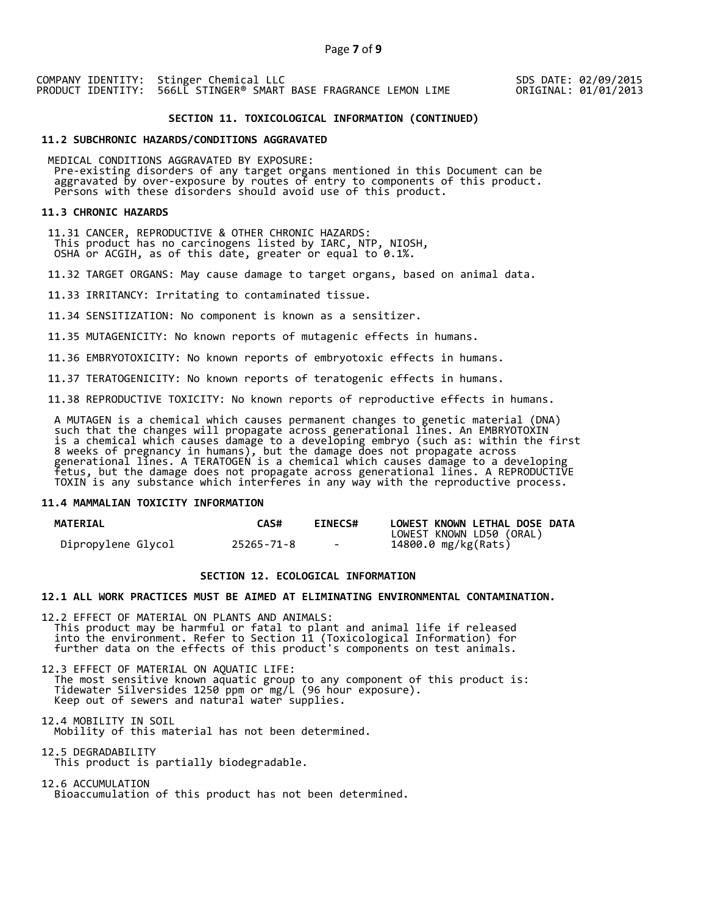SDS DATE: 02/09/2015 ORIGINAL: 01/01/2013

## **SECTION 11. TOXICOLOGICAL INFORMATION (CONTINUED)**

#### **11.2 SUBCHRONIC HAZARDS/CONDITIONS AGGRAVATED**

 MEDICAL CONDITIONS AGGRAVATED BY EXPOSURE: Pre-existing disorders of any target organs mentioned in this Document can be aggravated by over-exposure by routes of entry to components of this product. Persons with these disorders should avoid use of this product.

#### **11.3 CHRONIC HAZARDS**

 11.31 CANCER, REPRODUCTIVE & OTHER CHRONIC HAZARDS: This product has no carcinogens listed by IARC, NTP, NIOSH, OSHA or ACGIH, as of this date, greater or equal to 0.1%.

11.32 TARGET ORGANS: May cause damage to target organs, based on animal data.

11.33 IRRITANCY: Irritating to contaminated tissue.

11.34 SENSITIZATION: No component is known as a sensitizer.

11.35 MUTAGENICITY: No known reports of mutagenic effects in humans.

11.36 EMBRYOTOXICITY: No known reports of embryotoxic effects in humans.

11.37 TERATOGENICITY: No known reports of teratogenic effects in humans.

11.38 REPRODUCTIVE TOXICITY: No known reports of reproductive effects in humans.

 A MUTAGEN is a chemical which causes permanent changes to genetic material (DNA) such that the changes will propagate across generational lines. An EMBRYOTOXIN is a chemical which causes damage to a developing embryo (such as: within the first 8 weeks of pregnancy in humans), but the damage does not propagate across generational lines. A TERATOGEN is a chemical which causes damage to a developing fetus, but the damage does not propagate across generational lines. A REPRODUCTIVE TOXIN is any substance which interferes in any way with the reproductive process.

## **11.4 MAMMALIAN TOXICITY INFORMATION**

| <b>MATERIAL</b>    | <b>CAS#</b> | <b>EINECS#</b> | LOWEST KNOWN LETHAL DOSE DATA |
|--------------------|-------------|----------------|-------------------------------|
|                    |             |                | LOWEST KNOWN LD50 (ORAL)      |
| Dipropylene Glycol | 25265-71-8  | $\sim$         | 14800.0 mg/kg(Rats)           |

## **SECTION 12. ECOLOGICAL INFORMATION**

## **12.1 ALL WORK PRACTICES MUST BE AIMED AT ELIMINATING ENVIRONMENTAL CONTAMINATION.**

12.2 EFFECT OF MATERIAL ON PLANTS AND ANIMALS: This product may be harmful or fatal to plant and animal life if released into the environment. Refer to Section 11 (Toxicological Information) for further data on the effects of this product's components on test animals.

12.3 EFFECT OF MATERIAL ON AQUATIC LIFE: The most sensitive known aquatic group to any component of this product is: Tidewater Silversides 1250 ppm or mg/L (96 hour exposure). Keep out of sewers and natural water supplies.

12.4 MOBILITY IN SOIL Mobility of this material has not been determined.

12.5 DEGRADABILITY This product is partially biodegradable.

12.6 ACCUMULATION Bioaccumulation of this product has not been determined.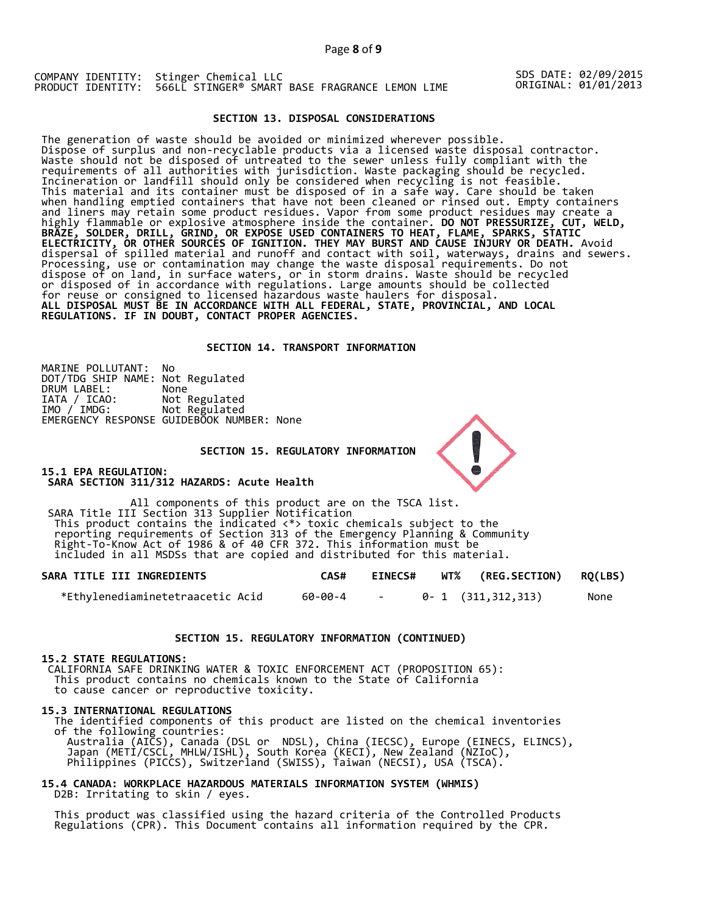SDS DATE: 02/09/2015 ORIGINAL: 01/01/2013

## **SECTION 13. DISPOSAL CONSIDERATIONS**

The generation of waste should be avoided or minimized wherever possible. Dispose of surplus and non-recyclable products via a licensed waste disposal contractor. Waste should not be disposed of untreated to the sewer unless fully compliant with the requirements of all authorities with jurisdiction. Waste packaging should be recycled. Incineration or landfill should only be considered when recycling is not feasible. This material and its container must be disposed of in a safe way. Care should be taken when handling emptied containers that have not been cleaned or rinsed out. Empty containers and liners may retain some product residues. Vapor from some product residues may create a highly flammable or explosive atmosphere inside the container. **DO NOT PRESSURIZE, CUT, WELD, BRAZE, SOLDER, DRILL, GRIND, OR EXPOSE USED CONTAINERS TO HEAT, FLAME, SPARKS, STATIC ELECTRICITY, OR OTHER SOURCES OF IGNITION. THEY MAY BURST AND CAUSE INJURY OR DEATH.** Avoid dispersal of spilled material and runoff and contact with soil, waterways, drains and sewers. Processing, use or contamination may change the waste disposal requirements. Do not dispose of on land, in surface waters, or in storm drains. Waste should be recycled or disposed of in accordance with regulations. Large amounts should be collected for reuse or consigned to licensed hazardous waste haulers for disposal. **ALL DISPOSAL MUST BE IN ACCORDANCE WITH ALL FEDERAL, STATE, PROVINCIAL, AND LOCAL REGULATIONS. IF IN DOUBT, CONTACT PROPER AGENCIES.** 

## **SECTION 14. TRANSPORT INFORMATION**

MARINE POLLUTANT: No DOT/TDG SHIP NAME: Not Regulated DRUM LABEL:<br>IATA / ICAO:<br>IMO / IMDG: Not Regulated Not Regulated EMERGENCY RESPONSE GUIDEBOOK NUMBER: None

#### **SECTION 15. REGULATORY INFORMATION**

**15.1 EPA REGULATION: SARA SECTION 311/312 HAZARDS: Acute Health** 

All components of this product are on the TSCA list. SARA Title III Section 313 Supplier Notification This product contains the indicated <\*> toxic chemicals subject to the reporting requirements of Section 313 of the Emergency Planning & Community Right-To-Know Act of 1986 & of 40 CFR 372. This information must be included in all MSDSs that are copied and distributed for this material.

| SARA TITLE III INGREDIENTS       | CAS#    | <b>EINECS#</b> | WT% (REG.SECTION) RQ(LBS) |      |
|----------------------------------|---------|----------------|---------------------------|------|
| *Ethylenediaminetetraacetic Acid | 60-00-4 |                | 0-1 (311,312,313)         | None |

#### **SECTION 15. REGULATORY INFORMATION (CONTINUED)**

#### **15.2 STATE REGULATIONS:**

 CALIFORNIA SAFE DRINKING WATER & TOXIC ENFORCEMENT ACT (PROPOSITION 65): This product contains no chemicals known to the State of California to cause cancer or reproductive toxicity.

#### **15.3 INTERNATIONAL REGULATIONS**

 The identified components of this product are listed on the chemical inventories of the following countries: Australia (AICS), Canada (DSL or NDSL), China (IECSC), Europe (EINECS, ELINCS), Japan (METI/CSCL, MHLW/ISHL), South Korea (KECI), New Zealand (NZIoC), Philippines (PICCS), Switzerland (SWISS), Taiwan (NECSI), USA (TSCA).

## **15.4 CANADA: WORKPLACE HAZARDOUS MATERIALS INFORMATION SYSTEM (WHMIS)**  D2B: Irritating to skin / eyes.

 This product was classified using the hazard criteria of the Controlled Products Regulations (CPR). This Document contains all information required by the CPR.